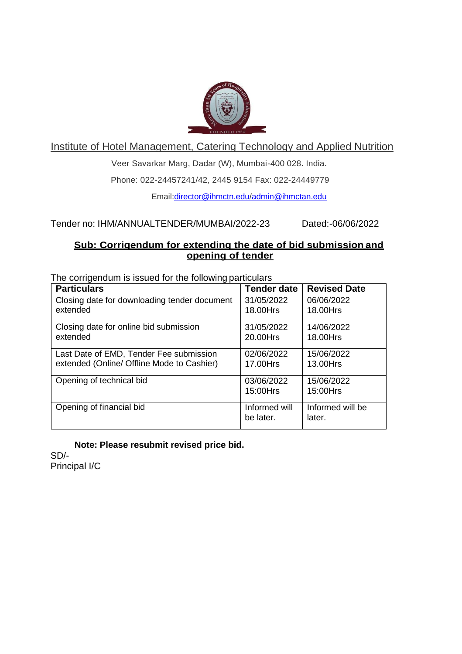

Institute of Hotel Management, Catering Technology and Applied Nutrition

Veer Savarkar Marg, Dadar (W), Mumbai-400 028. India.

Phone: 022-24457241/42, 2445 9154 Fax: 022-24449779

Email:director@ihmctn.edu/admin@ihmctan.edu

Tender no: IHM/ANNUALTENDER/MUMBAI/2022-23 Dated:-06/06/2022

## **Sub: Corrigendum for extending the date of bid submission and opening of tender**

The corrigendum is issued for the following particulars

| <b>Particulars</b>                           | <b>Tender date</b> | <b>Revised Date</b> |
|----------------------------------------------|--------------------|---------------------|
| Closing date for downloading tender document | 31/05/2022         | 06/06/2022          |
| extended                                     | 18.00Hrs           | 18.00Hrs            |
| Closing date for online bid submission       | 31/05/2022         | 14/06/2022          |
| extended                                     | 20.00Hrs           | 18.00Hrs            |
| Last Date of EMD, Tender Fee submission      | 02/06/2022         | 15/06/2022          |
| extended (Online/ Offline Mode to Cashier)   | 17.00Hrs           | 13.00Hrs            |
| Opening of technical bid                     | 03/06/2022         | 15/06/2022          |
|                                              | 15:00Hrs           | 15:00Hrs            |
| Opening of financial bid                     | Informed will      | Informed will be    |
|                                              | be later.          | later.              |

**Note: Please resubmit revised price bid.** 

SD/- Principal I/C